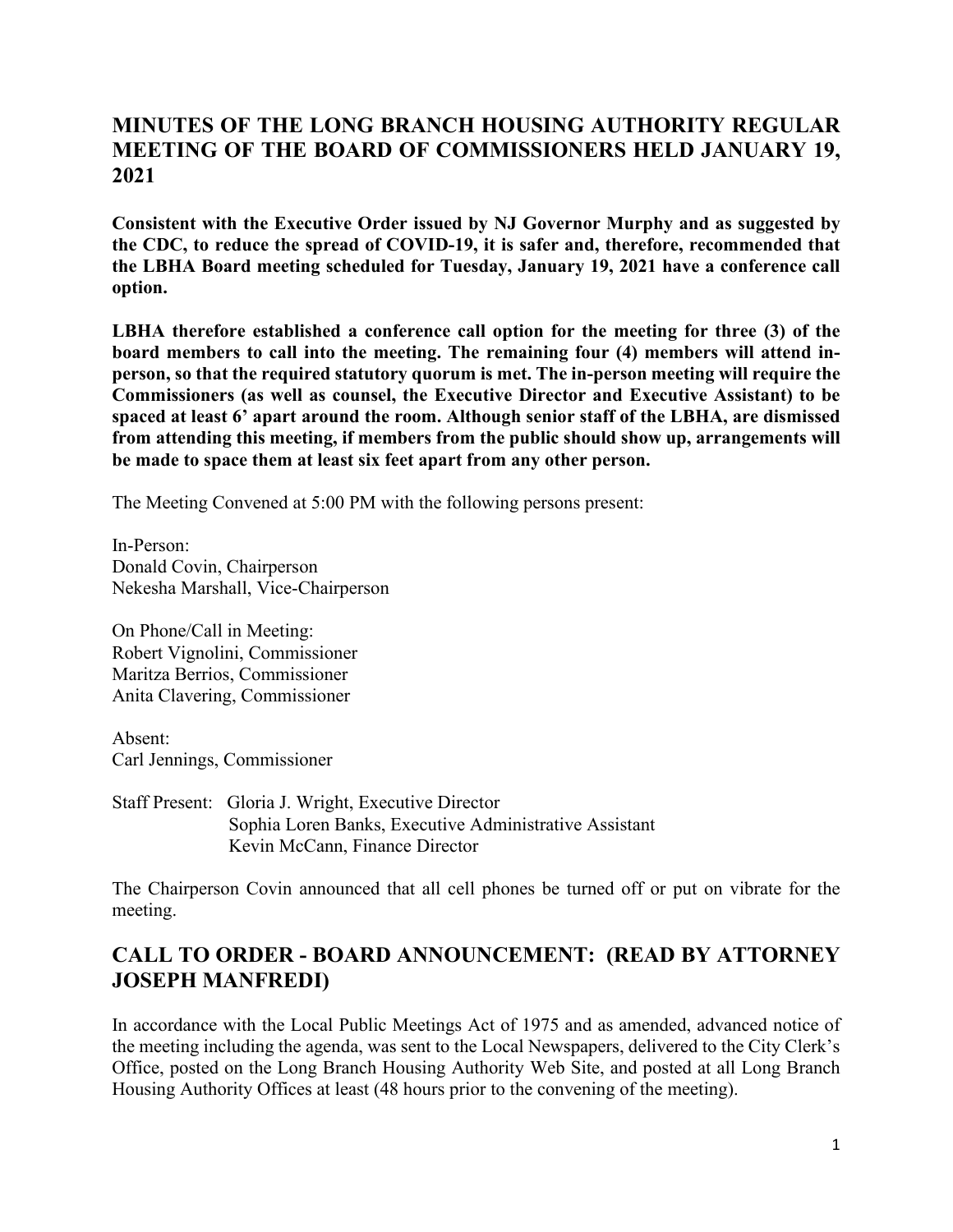## **MINUTES OF THE LONG BRANCH HOUSING AUTHORITY REGULAR MEETING OF THE BOARD OF COMMISSIONERS HELD JANUARY 19, 2021**

**Consistent with the Executive Order issued by NJ Governor Murphy and as suggested by the CDC, to reduce the spread of COVID-19, it is safer and, therefore, recommended that the LBHA Board meeting scheduled for Tuesday, January 19, 2021 have a conference call option.**

**LBHA therefore established a conference call option for the meeting for three (3) of the board members to call into the meeting. The remaining four (4) members will attend inperson, so that the required statutory quorum is met. The in-person meeting will require the Commissioners (as well as counsel, the Executive Director and Executive Assistant) to be spaced at least 6' apart around the room. Although senior staff of the LBHA, are dismissed from attending this meeting, if members from the public should show up, arrangements will be made to space them at least six feet apart from any other person.**

The Meeting Convened at 5:00 PM with the following persons present:

In-Person: Donald Covin, Chairperson Nekesha Marshall, Vice-Chairperson

On Phone/Call in Meeting: Robert Vignolini, Commissioner Maritza Berrios, Commissioner Anita Clavering, Commissioner

Absent: Carl Jennings, Commissioner

Staff Present: Gloria J. Wright, Executive Director Sophia Loren Banks, Executive Administrative Assistant Kevin McCann, Finance Director

The Chairperson Covin announced that all cell phones be turned off or put on vibrate for the meeting.

### **CALL TO ORDER - BOARD ANNOUNCEMENT: (READ BY ATTORNEY JOSEPH MANFREDI)**

In accordance with the Local Public Meetings Act of 1975 and as amended, advanced notice of the meeting including the agenda, was sent to the Local Newspapers, delivered to the City Clerk's Office, posted on the Long Branch Housing Authority Web Site, and posted at all Long Branch Housing Authority Offices at least (48 hours prior to the convening of the meeting).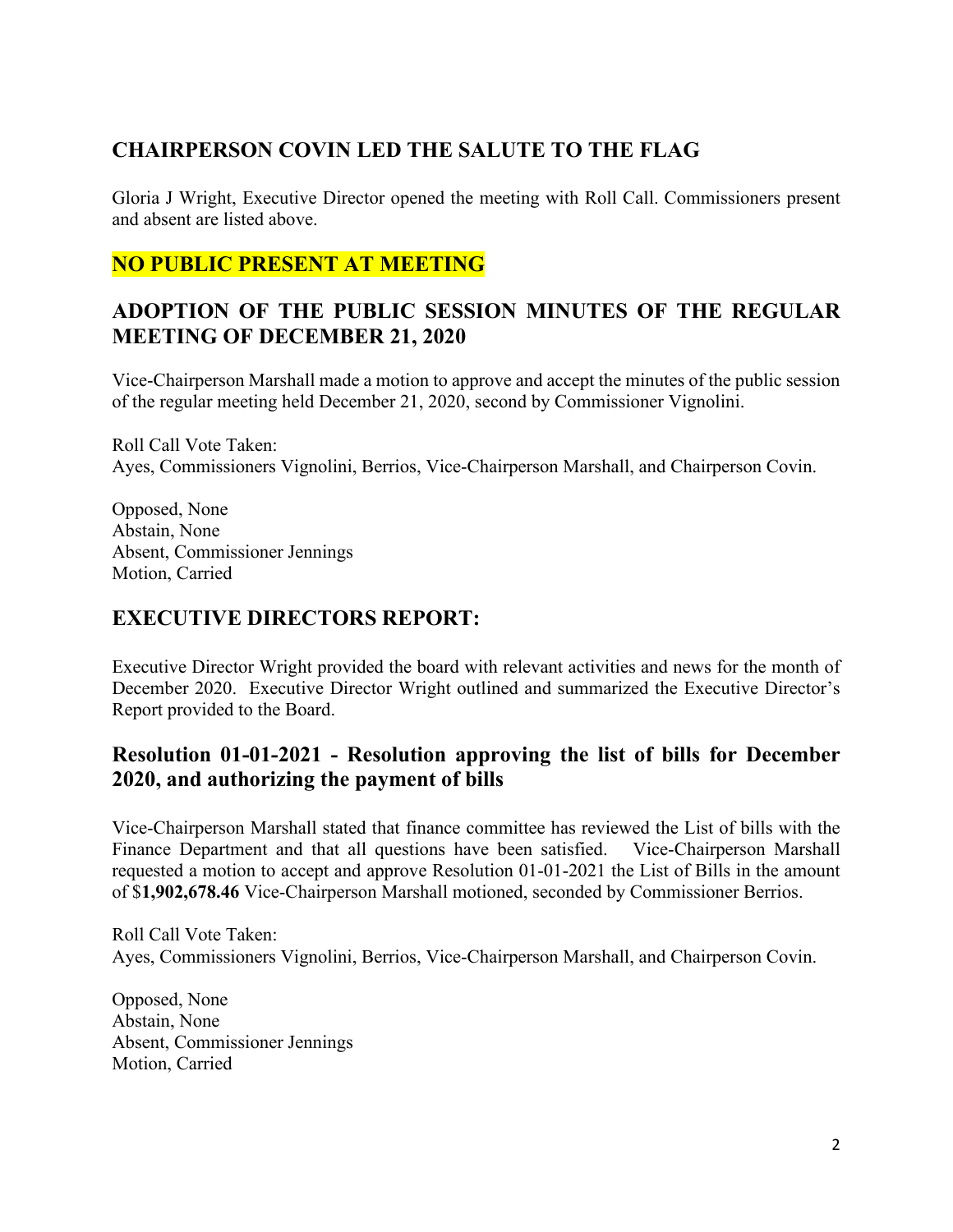# **CHAIRPERSON COVIN LED THE SALUTE TO THE FLAG**

Gloria J Wright, Executive Director opened the meeting with Roll Call. Commissioners present and absent are listed above.

### **NO PUBLIC PRESENT AT MEETING**

### **ADOPTION OF THE PUBLIC SESSION MINUTES OF THE REGULAR MEETING OF DECEMBER 21, 2020**

Vice-Chairperson Marshall made a motion to approve and accept the minutes of the public session of the regular meeting held December 21, 2020, second by Commissioner Vignolini.

Roll Call Vote Taken: Ayes, Commissioners Vignolini, Berrios, Vice-Chairperson Marshall, and Chairperson Covin.

Opposed, None Abstain, None Absent, Commissioner Jennings Motion, Carried

## **EXECUTIVE DIRECTORS REPORT:**

Executive Director Wright provided the board with relevant activities and news for the month of December 2020. Executive Director Wright outlined and summarized the Executive Director's Report provided to the Board.

### **Resolution 01-01-2021 - Resolution approving the list of bills for December 2020, and authorizing the payment of bills**

Vice-Chairperson Marshall stated that finance committee has reviewed the List of bills with the Finance Department and that all questions have been satisfied. Vice-Chairperson Marshall requested a motion to accept and approve Resolution 01-01-2021 the List of Bills in the amount of \$**1,902,678.46** Vice-Chairperson Marshall motioned, seconded by Commissioner Berrios.

Roll Call Vote Taken: Ayes, Commissioners Vignolini, Berrios, Vice-Chairperson Marshall, and Chairperson Covin.

Opposed, None Abstain, None Absent, Commissioner Jennings Motion, Carried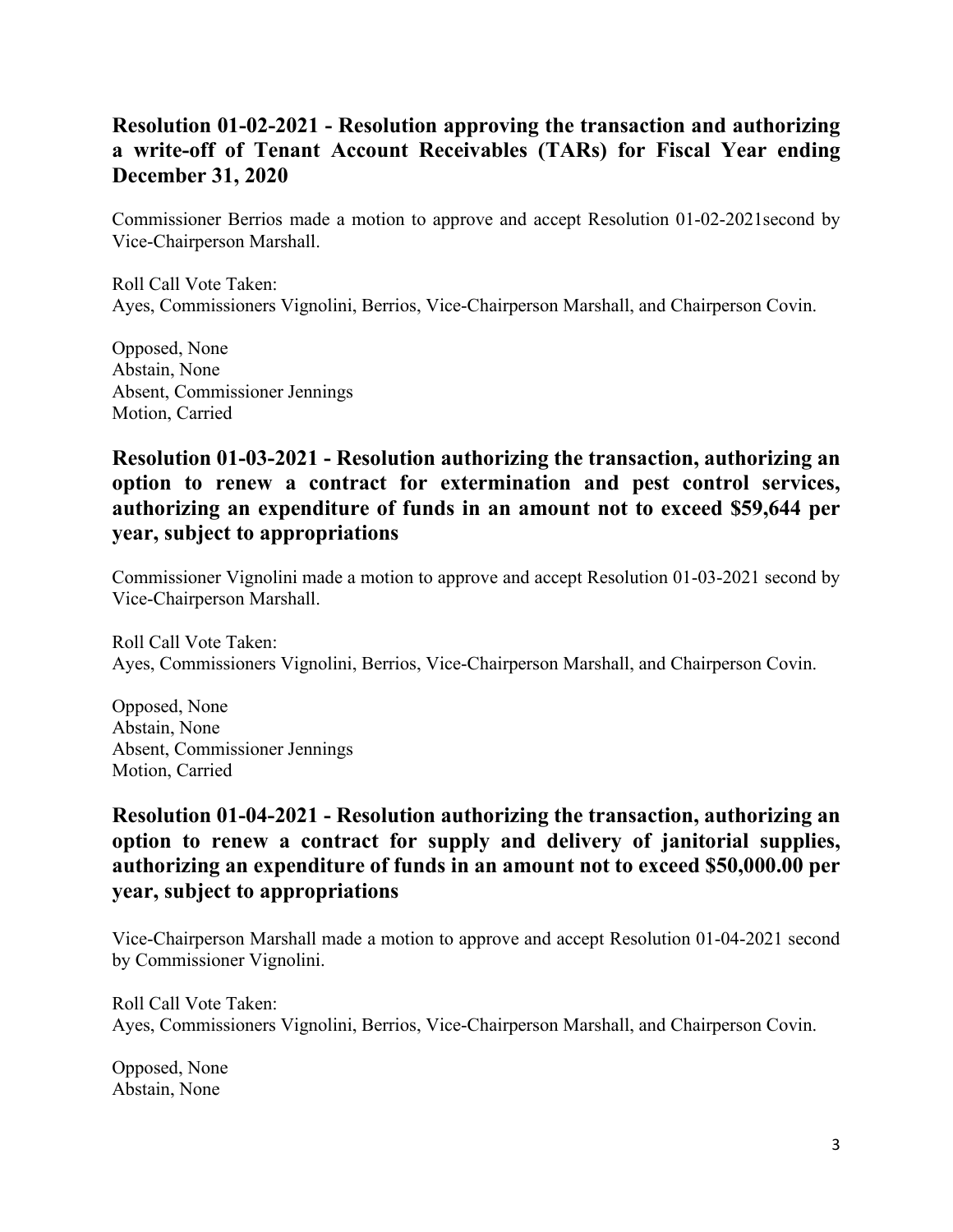## **Resolution 01-02-2021 - Resolution approving the transaction and authorizing a write-off of Tenant Account Receivables (TARs) for Fiscal Year ending December 31, 2020**

Commissioner Berrios made a motion to approve and accept Resolution 01-02-2021second by Vice-Chairperson Marshall.

Roll Call Vote Taken: Ayes, Commissioners Vignolini, Berrios, Vice-Chairperson Marshall, and Chairperson Covin.

Opposed, None Abstain, None Absent, Commissioner Jennings Motion, Carried

#### **Resolution 01-03-2021 - Resolution authorizing the transaction, authorizing an option to renew a contract for extermination and pest control services, authorizing an expenditure of funds in an amount not to exceed \$59,644 per year, subject to appropriations**

Commissioner Vignolini made a motion to approve and accept Resolution 01-03-2021 second by Vice-Chairperson Marshall.

Roll Call Vote Taken: Ayes, Commissioners Vignolini, Berrios, Vice-Chairperson Marshall, and Chairperson Covin.

Opposed, None Abstain, None Absent, Commissioner Jennings Motion, Carried

### **Resolution 01-04-2021 - Resolution authorizing the transaction, authorizing an option to renew a contract for supply and delivery of janitorial supplies, authorizing an expenditure of funds in an amount not to exceed \$50,000.00 per year, subject to appropriations**

Vice-Chairperson Marshall made a motion to approve and accept Resolution 01-04-2021 second by Commissioner Vignolini.

Roll Call Vote Taken: Ayes, Commissioners Vignolini, Berrios, Vice-Chairperson Marshall, and Chairperson Covin.

Opposed, None Abstain, None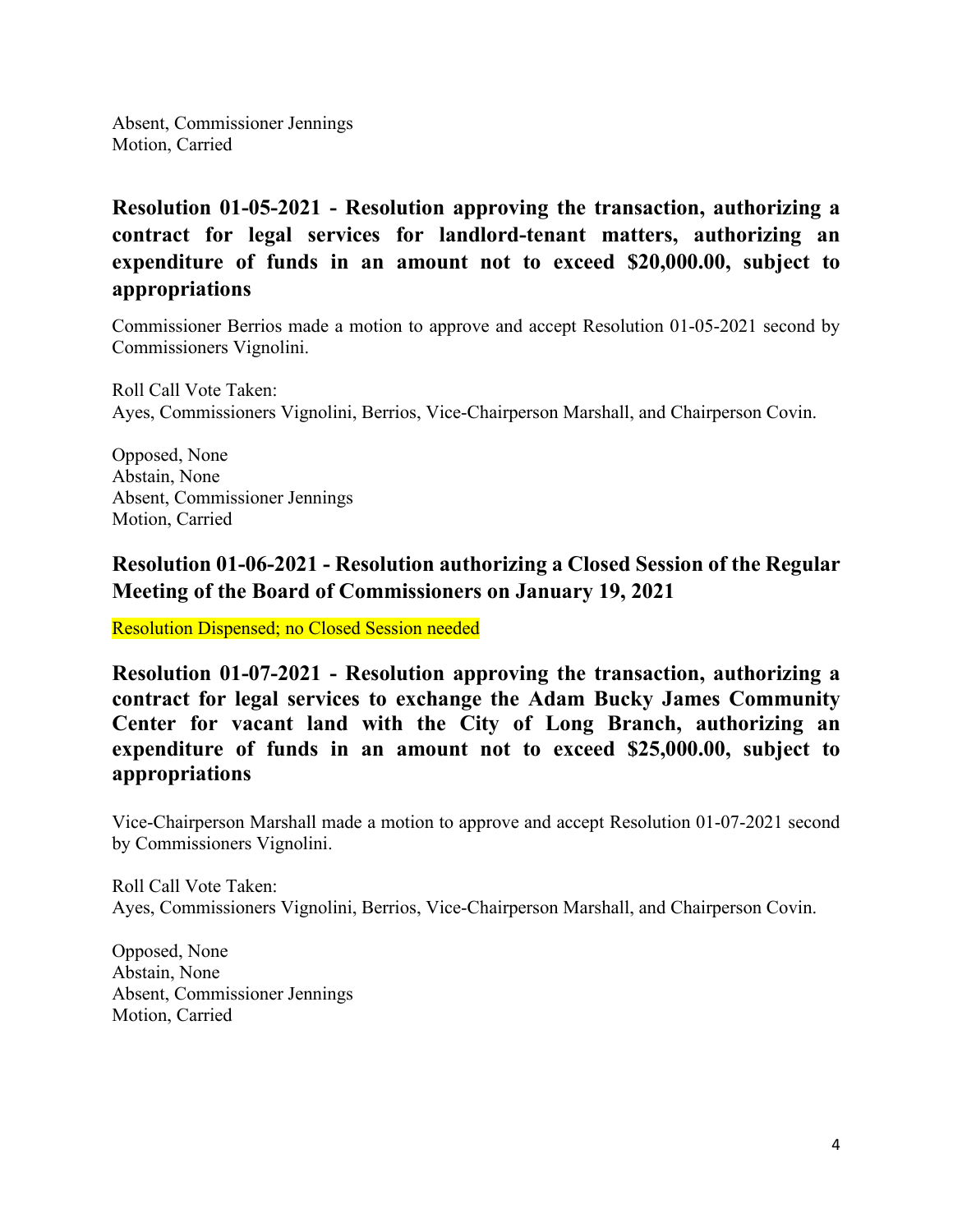Absent, Commissioner Jennings Motion, Carried

**Resolution 01-05-2021 - Resolution approving the transaction, authorizing a contract for legal services for landlord-tenant matters, authorizing an expenditure of funds in an amount not to exceed \$20,000.00, subject to appropriations**

Commissioner Berrios made a motion to approve and accept Resolution 01-05-2021 second by Commissioners Vignolini.

Roll Call Vote Taken: Ayes, Commissioners Vignolini, Berrios, Vice-Chairperson Marshall, and Chairperson Covin.

Opposed, None Abstain, None Absent, Commissioner Jennings Motion, Carried

## **Resolution 01-06-2021 - Resolution authorizing a Closed Session of the Regular Meeting of the Board of Commissioners on January 19, 2021**

Resolution Dispensed; no Closed Session needed

**Resolution 01-07-2021 - Resolution approving the transaction, authorizing a contract for legal services to exchange the Adam Bucky James Community Center for vacant land with the City of Long Branch, authorizing an expenditure of funds in an amount not to exceed \$25,000.00, subject to appropriations**

Vice-Chairperson Marshall made a motion to approve and accept Resolution 01-07-2021 second by Commissioners Vignolini.

Roll Call Vote Taken: Ayes, Commissioners Vignolini, Berrios, Vice-Chairperson Marshall, and Chairperson Covin.

Opposed, None Abstain, None Absent, Commissioner Jennings Motion, Carried